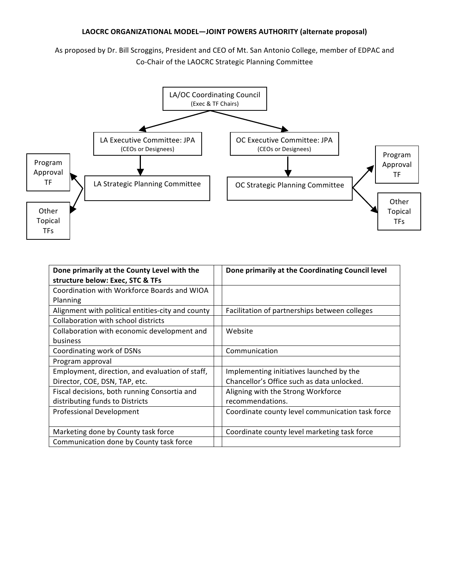## LAOCRC ORGANIZATIONAL MODEL-JOINT POWERS AUTHORITY (alternate proposal)

As proposed by Dr. Bill Scroggins, President and CEO of Mt. San Antonio College, member of EDPAC and Co-Chair of the LAOCRC Strategic Planning Committee



| Done primarily at the County Level with the       | Done primarily at the Coordinating Council level |
|---------------------------------------------------|--------------------------------------------------|
| structure below: Exec, STC & TFs                  |                                                  |
| Coordination with Workforce Boards and WIOA       |                                                  |
| Planning                                          |                                                  |
| Alignment with political entities-city and county | Facilitation of partnerships between colleges    |
| Collaboration with school districts               |                                                  |
| Collaboration with economic development and       | Website                                          |
| <b>business</b>                                   |                                                  |
| Coordinating work of DSNs                         | Communication                                    |
| Program approval                                  |                                                  |
| Employment, direction, and evaluation of staff,   | Implementing initiatives launched by the         |
| Director, COE, DSN, TAP, etc.                     | Chancellor's Office such as data unlocked.       |
| Fiscal decisions, both running Consortia and      | Aligning with the Strong Workforce               |
| distributing funds to Districts                   | recommendations.                                 |
| Professional Development                          | Coordinate county level communication task force |
|                                                   |                                                  |
| Marketing done by County task force               | Coordinate county level marketing task force     |
| Communication done by County task force           |                                                  |